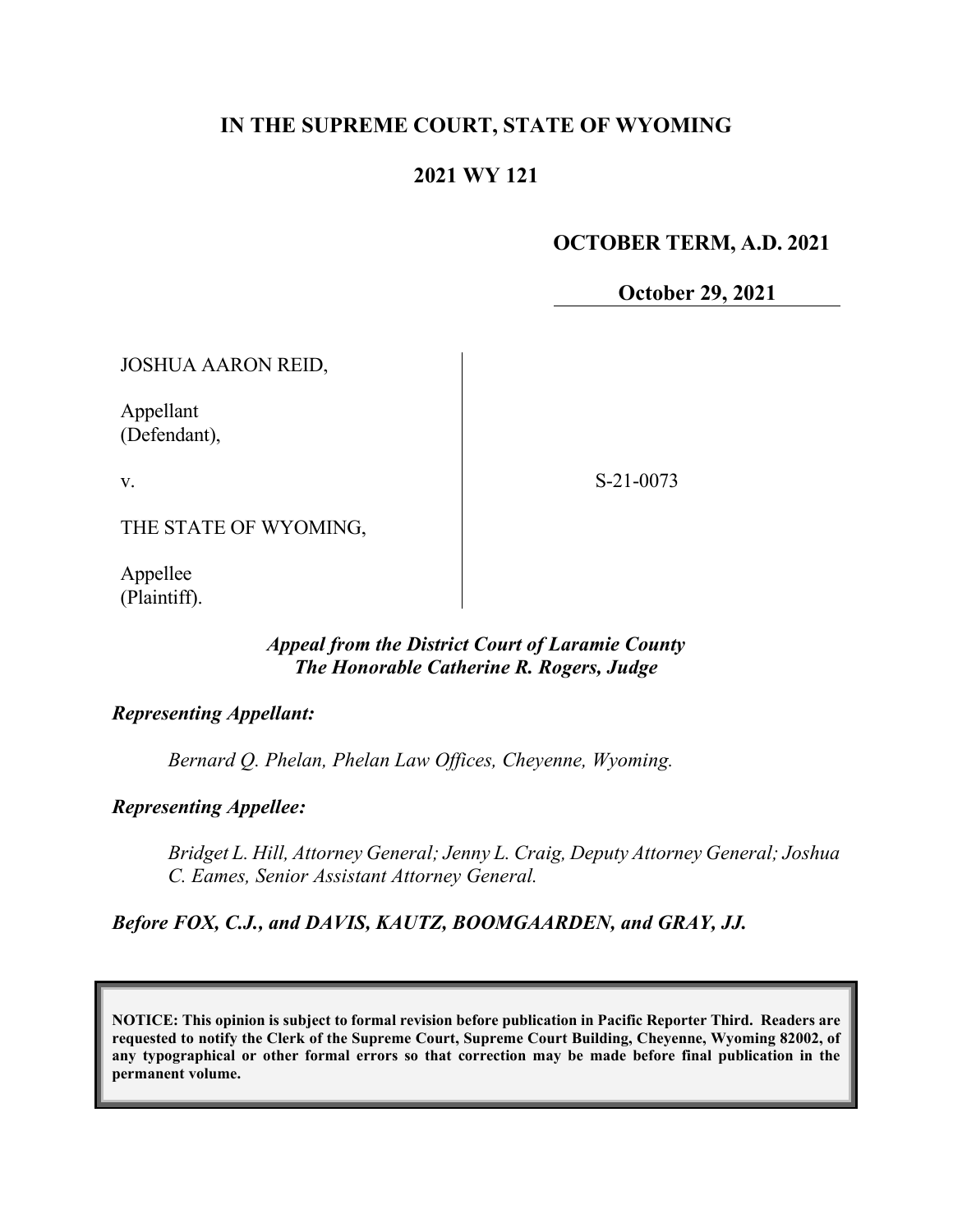# **IN THE SUPREME COURT, STATE OF WYOMING**

## **2021 WY 121**

#### **OCTOBER TERM, A.D. 2021**

**October 29, 2021**

JOSHUA AARON REID,

Appellant (Defendant),

v.

S-21-0073

THE STATE OF WYOMING,

Appellee (Plaintiff).

## *Appeal from the District Court of Laramie County The Honorable Catherine R. Rogers, Judge*

*Representing Appellant:*

*Bernard Q. Phelan, Phelan Law Offices, Cheyenne, Wyoming.*

*Representing Appellee:*

*Bridget L. Hill, Attorney General; Jenny L. Craig, Deputy Attorney General; Joshua C. Eames, Senior Assistant Attorney General.*

*Before FOX, C.J., and DAVIS, KAUTZ, BOOMGAARDEN, and GRAY, JJ.*

**NOTICE: This opinion is subject to formal revision before publication in Pacific Reporter Third. Readers are requested to notify the Clerk of the Supreme Court, Supreme Court Building, Cheyenne, Wyoming 82002, of any typographical or other formal errors so that correction may be made before final publication in the permanent volume.**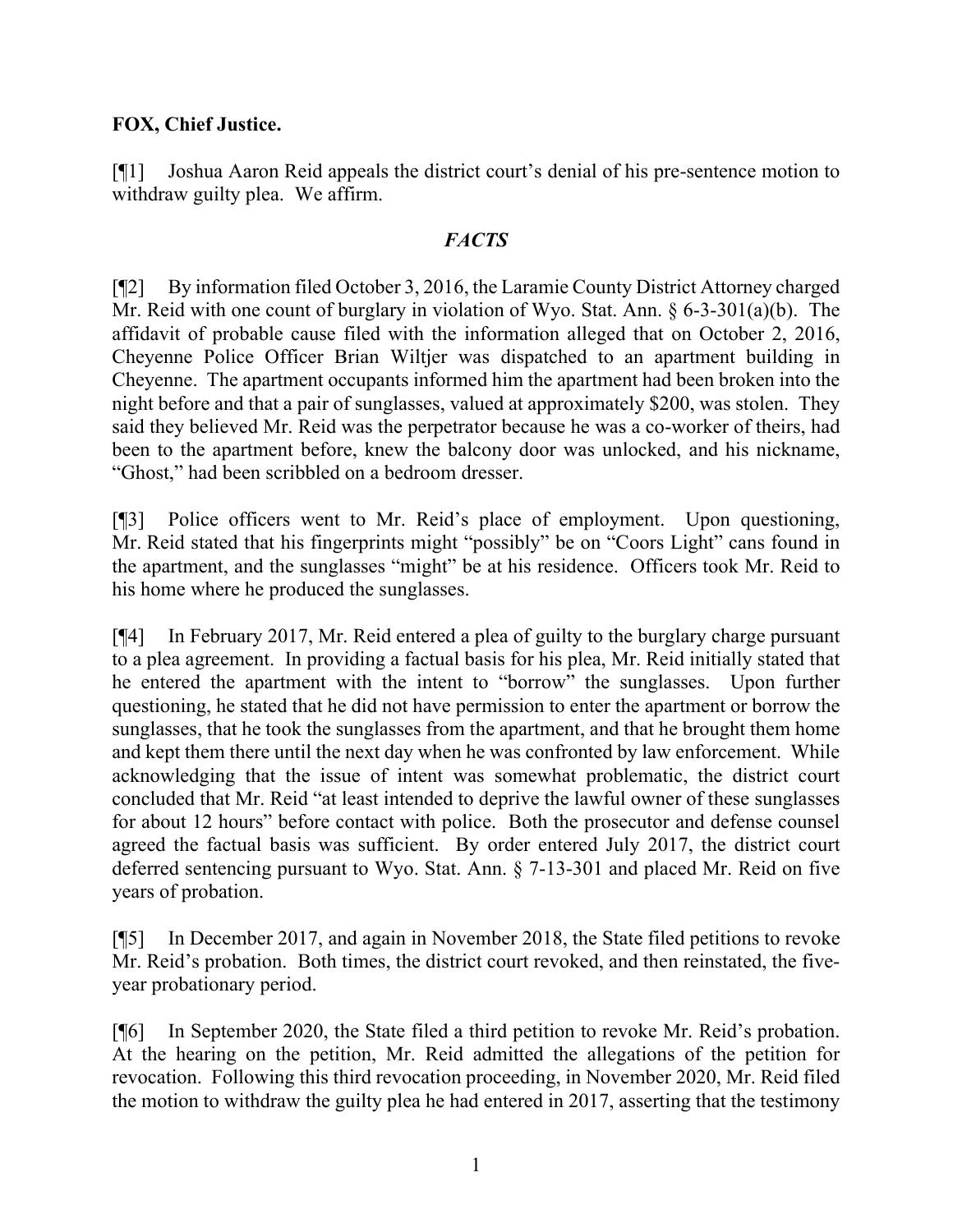## **FOX, Chief Justice.**

[¶1] Joshua Aaron Reid appeals the district court's denial of his pre-sentence motion to withdraw guilty plea. We affirm.

## *FACTS*

[¶2] By information filed October 3, 2016, the Laramie County District Attorney charged Mr. Reid with one count of burglary in violation of Wyo. Stat. Ann. § 6-3-301(a)(b). The affidavit of probable cause filed with the information alleged that on October 2, 2016, Cheyenne Police Officer Brian Wiltjer was dispatched to an apartment building in Cheyenne. The apartment occupants informed him the apartment had been broken into the night before and that a pair of sunglasses, valued at approximately \$200, was stolen. They said they believed Mr. Reid was the perpetrator because he was a co-worker of theirs, had been to the apartment before, knew the balcony door was unlocked, and his nickname, "Ghost," had been scribbled on a bedroom dresser.

[¶3] Police officers went to Mr. Reid's place of employment. Upon questioning, Mr. Reid stated that his fingerprints might "possibly" be on "Coors Light" cans found in the apartment, and the sunglasses "might" be at his residence. Officers took Mr. Reid to his home where he produced the sunglasses.

[¶4] In February 2017, Mr. Reid entered a plea of guilty to the burglary charge pursuant to a plea agreement. In providing a factual basis for his plea, Mr. Reid initially stated that he entered the apartment with the intent to "borrow" the sunglasses. Upon further questioning, he stated that he did not have permission to enter the apartment or borrow the sunglasses, that he took the sunglasses from the apartment, and that he brought them home and kept them there until the next day when he was confronted by law enforcement. While acknowledging that the issue of intent was somewhat problematic, the district court concluded that Mr. Reid "at least intended to deprive the lawful owner of these sunglasses for about 12 hours" before contact with police. Both the prosecutor and defense counsel agreed the factual basis was sufficient. By order entered July 2017, the district court deferred sentencing pursuant to Wyo. Stat. Ann. § 7-13-301 and placed Mr. Reid on five years of probation.

[¶5] In December 2017, and again in November 2018, the State filed petitions to revoke Mr. Reid's probation. Both times, the district court revoked, and then reinstated, the fiveyear probationary period.

[¶6] In September 2020, the State filed a third petition to revoke Mr. Reid's probation. At the hearing on the petition, Mr. Reid admitted the allegations of the petition for revocation. Following this third revocation proceeding, in November 2020, Mr. Reid filed the motion to withdraw the guilty plea he had entered in 2017, asserting that the testimony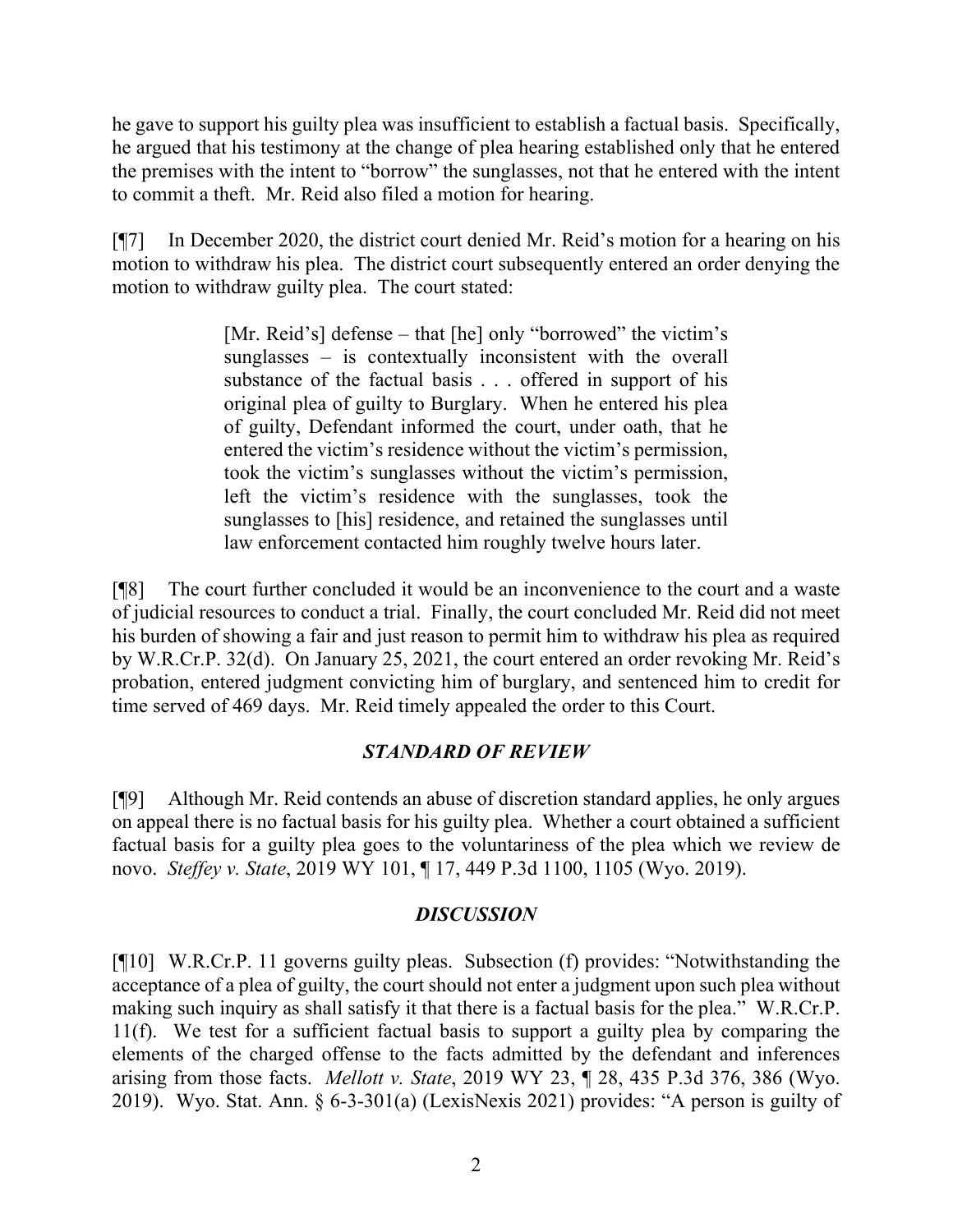he gave to support his guilty plea was insufficient to establish a factual basis. Specifically, he argued that his testimony at the change of plea hearing established only that he entered the premises with the intent to "borrow" the sunglasses, not that he entered with the intent to commit a theft. Mr. Reid also filed a motion for hearing.

[¶7] In December 2020, the district court denied Mr. Reid's motion for a hearing on his motion to withdraw his plea. The district court subsequently entered an order denying the motion to withdraw guilty plea. The court stated:

> [Mr. Reid's] defense – that [he] only "borrowed" the victim's sunglasses – is contextually inconsistent with the overall substance of the factual basis . . . offered in support of his original plea of guilty to Burglary. When he entered his plea of guilty, Defendant informed the court, under oath, that he entered the victim's residence without the victim's permission, took the victim's sunglasses without the victim's permission, left the victim's residence with the sunglasses, took the sunglasses to [his] residence, and retained the sunglasses until law enforcement contacted him roughly twelve hours later.

[¶8] The court further concluded it would be an inconvenience to the court and a waste of judicial resources to conduct a trial. Finally, the court concluded Mr. Reid did not meet his burden of showing a fair and just reason to permit him to withdraw his plea as required by W.R.Cr.P. 32(d). On January 25, 2021, the court entered an order revoking Mr. Reid's probation, entered judgment convicting him of burglary, and sentenced him to credit for time served of 469 days. Mr. Reid timely appealed the order to this Court.

#### *STANDARD OF REVIEW*

[¶9] Although Mr. Reid contends an abuse of discretion standard applies, he only argues on appeal there is no factual basis for his guilty plea. Whether a court obtained a sufficient factual basis for a guilty plea goes to the voluntariness of the plea which we review de novo. *Steffey v. State*, 2019 WY 101, ¶ 17, 449 P.3d 1100, 1105 (Wyo. 2019).

#### *DISCUSSION*

[¶10] W.R.Cr.P. 11 governs guilty pleas. Subsection (f) provides: "Notwithstanding the acceptance of a plea of guilty, the court should not enter a judgment upon such plea without making such inquiry as shall satisfy it that there is a factual basis for the plea." W.R.Cr.P. 11(f). We test for a sufficient factual basis to support a guilty plea by comparing the elements of the charged offense to the facts admitted by the defendant and inferences arising from those facts. *Mellott v. State*, 2019 WY 23, ¶ 28, 435 P.3d 376, 386 (Wyo. 2019). Wyo. Stat. Ann. § 6-3-301(a) (LexisNexis 2021) provides: "A person is guilty of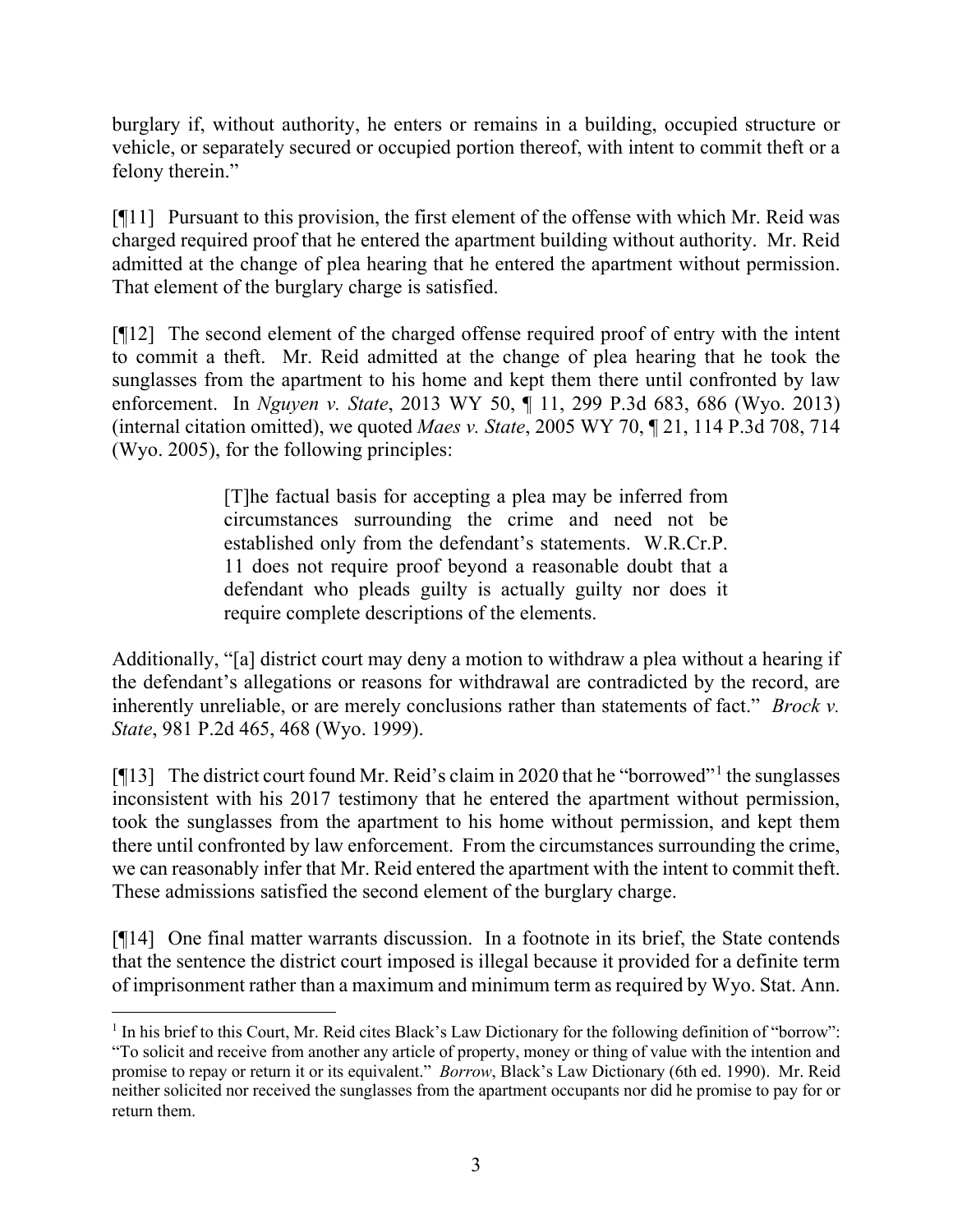burglary if, without authority, he enters or remains in a building, occupied structure or vehicle, or separately secured or occupied portion thereof, with intent to commit theft or a felony therein."

[¶11] Pursuant to this provision, the first element of the offense with which Mr. Reid was charged required proof that he entered the apartment building without authority. Mr. Reid admitted at the change of plea hearing that he entered the apartment without permission. That element of the burglary charge is satisfied.

[¶12] The second element of the charged offense required proof of entry with the intent to commit a theft. Mr. Reid admitted at the change of plea hearing that he took the sunglasses from the apartment to his home and kept them there until confronted by law enforcement. In *Nguyen v. State*, 2013 WY 50, ¶ 11, 299 P.3d 683, 686 (Wyo. 2013) (internal citation omitted), we quoted *Maes v. State*, 2005 WY 70, ¶ 21, 114 P.3d 708, 714 (Wyo. 2005), for the following principles:

> [T]he factual basis for accepting a plea may be inferred from circumstances surrounding the crime and need not be established only from the defendant's statements. W.R.Cr.P. 11 does not require proof beyond a reasonable doubt that a defendant who pleads guilty is actually guilty nor does it require complete descriptions of the elements.

Additionally, "[a] district court may deny a motion to withdraw a plea without a hearing if the defendant's allegations or reasons for withdrawal are contradicted by the record, are inherently unreliable, or are merely conclusions rather than statements of fact." *Brock v. State*, 981 P.2d 465, 468 (Wyo. 1999).

[ $[13]$  $[13]$  $[13]$ ] The district court found Mr. Reid's claim in 2020 that he "borrowed"<sup>1</sup> the sunglasses inconsistent with his 2017 testimony that he entered the apartment without permission, took the sunglasses from the apartment to his home without permission, and kept them there until confronted by law enforcement. From the circumstances surrounding the crime, we can reasonably infer that Mr. Reid entered the apartment with the intent to commit theft. These admissions satisfied the second element of the burglary charge.

[¶14] One final matter warrants discussion. In a footnote in its brief, the State contends that the sentence the district court imposed is illegal because it provided for a definite term of imprisonment rather than a maximum and minimum term as required by Wyo. Stat. Ann.

<span id="page-3-0"></span> $<sup>1</sup>$  In his brief to this Court, Mr. Reid cites Black's Law Dictionary for the following definition of "borrow":</sup> "To solicit and receive from another any article of property, money or thing of value with the intention and promise to repay or return it or its equivalent." *Borrow*, Black's Law Dictionary (6th ed. 1990). Mr. Reid neither solicited nor received the sunglasses from the apartment occupants nor did he promise to pay for or return them.